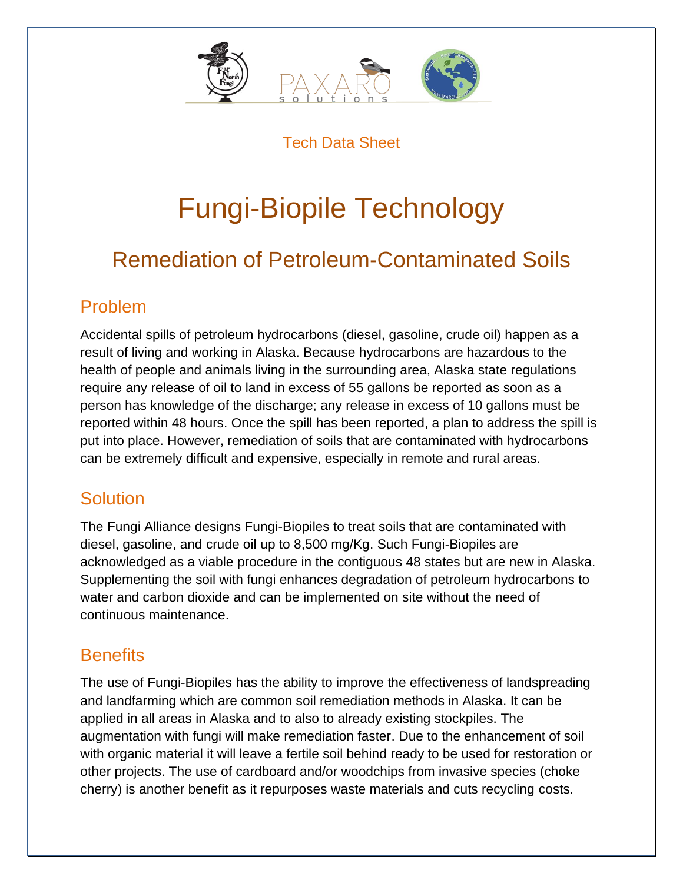

Tech Data Sheet

# Fungi-Biopile Technology

# Remediation of Petroleum-Contaminated Soils

#### Problem

Accidental spills of petroleum hydrocarbons (diesel, gasoline, crude oil) happen as a result of living and working in Alaska. Because hydrocarbons are hazardous to the health of people and animals living in the surrounding area, Alaska state regulations require any release of oil to land in excess of 55 gallons be reported as soon as a person has knowledge of the discharge; any release in excess of 10 gallons must be reported within 48 hours. Once the spill has been reported, a plan to address the spill is put into place. However, remediation of soils that are contaminated with hydrocarbons can be extremely difficult and expensive, especially in remote and rural areas.

## **Solution**

The Fungi Alliance designs Fungi-Biopiles to treat soils that are contaminated with diesel, gasoline, and crude oil up to 8,500 mg/Kg. Such Fungi-Biopiles are acknowledged as a viable procedure in the contiguous 48 states but are new in Alaska. Supplementing the soil with fungi enhances degradation of petroleum hydrocarbons to water and carbon dioxide and can be implemented on site without the need of continuous maintenance.

## **Benefits**

The use of Fungi-Biopiles has the ability to improve the effectiveness of landspreading and landfarming which are common soil remediation methods in Alaska. It can be applied in all areas in Alaska and to also to already existing stockpiles. The augmentation with fungi will make remediation faster. Due to the enhancement of soil with organic material it will leave a fertile soil behind ready to be used for restoration or other projects. The use of cardboard and/or woodchips from invasive species (choke cherry) is another benefit as it repurposes waste materials and cuts recycling costs.